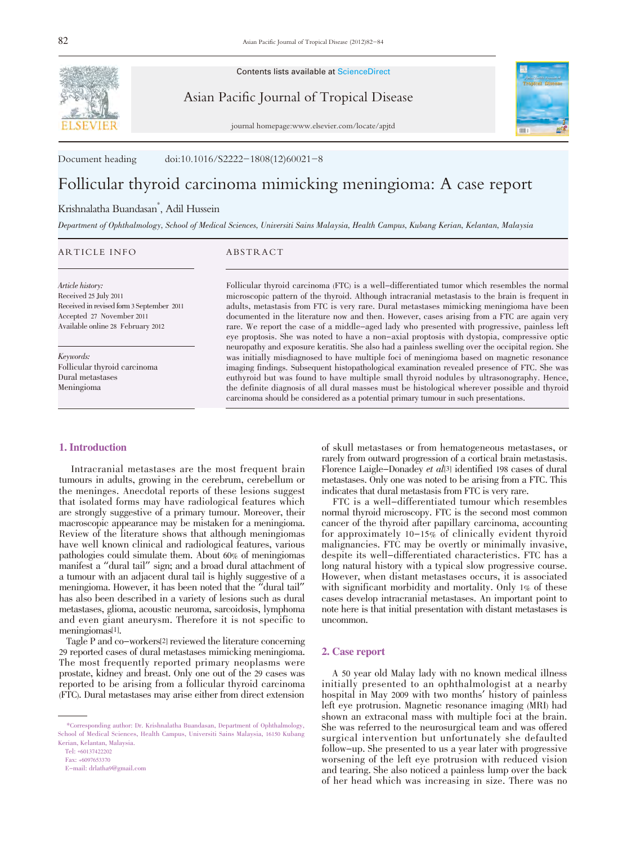

Contents lists available at ScienceDirect

Asian Pacific Journal of Tropical Disease



journal homepage:www.elsevier.com/locate/apjtd

Document heading doi:10.1016/S2222-1808(12)60021-8

# Follicular thyroid carcinoma mimicking meningioma: A case report

# Krishnalatha Buandasan\* , Adil Hussein

Department of Ophthalmology, School of Medical Sciences, Universiti Sains Malaysia, Health Campus, Kubang Kerian, Kelantan, Malaysia

# ARTICLE INFO ABSTRACT

Article history: Received 25 July 2011

Received in revised form 3 September 2011 Accepted 27 November 2011 Available online 28 February 2012

Keywords: Follicular thyroid carcinoma Dural metastases Meningioma

# 1. Introduction

 Intracranial metastases are the most frequent brain tumours in adults, growing in the cerebrum, cerebellum or the meninges. Anecdotal reports of these lesions suggest that isolated forms may have radiological features which are strongly suggestive of a primary tumour. Moreover, their macroscopic appearance may be mistaken for a meningioma. Review of the literature shows that although meningiomas have well known clinical and radiological features, various pathologies could simulate them. About 60% of meningiomas manifest a "dural tail" sign; and a broad dural attachment of a tumour with an adjacent dural tail is highly suggestive of a meningioma. However, it has been noted that the "dural tail" has also been described in a variety of lesions such as dural metastases, glioma, acoustic neuroma, sarcoidosis, lymphoma and even giant aneurysm. Therefore it is not specific to meningiomas[1].

 Tagle P and co-workers[2] reviewed the literature concerning 29 reported cases of dural metastases mimicking meningioma. The most frequently reported primary neoplasms were prostate, kidney and breast. Only one out of the 29 cases was reported to be arising from a follicular thyroid carcinoma (FTC). Dural metastases may arise either from direct extension

Tel: +60137422202

E-mail: drlatha9@gmail.com

Follicular thyroid carcinoma (FTC) is a well-differentiated tumor which resembles the normal microscopic pattern of the thyroid. Although intracranial metastasis to the brain is frequent in adults, metastasis from FTC is very rare. Dural metastases mimicking meningioma have been documented in the literature now and then. However, cases arising from a FTC are again very rare. We report the case of a middle-aged lady who presented with progressive, painless left eye proptosis. She was noted to have a non-axial proptosis with dystopia, compressive optic neuropathy and exposure keratitis. She also had a painless swelling over the occipital region. She was initially misdiagnosed to have multiple foci of meningioma based on magnetic resonance imaging findings. Subsequent histopathological examination revealed presence of FTC. She was euthyroid but was found to have multiple small thyroid nodules by ultrasonography. Hence, the definite diagnosis of all dural masses must be histological wherever possible and thyroid carcinoma should be considered as a potential primary tumour in such presentations.

> of skull metastases or from hematogeneous metastases, or rarely from outward progression of a cortical brain metastasis. Florence Laigle-Donadey et al<br/>[3] identified 198 cases of dural metastases. Only one was noted to be arising from a FTC. This

> FTC is a well-differentiated tumour which resembles normal thyroid microscopy. FTC is the second most common cancer of the thyroid after papillary carcinoma, accounting for approximately 10-15% of clinically evident thyroid malignancies. FTC may be overtly or minimally invasive, despite its well-differentiated characteristics. FTC has a long natural history with a typical slow progressive course. However, when distant metastases occurs, it is associated with significant morbidity and mortality. Only 1% of these cases develop intracranial metastases. An important point to note here is that initial presentation with distant metastases is uncommon.

#### 2. Case report

 A 50 year old Malay lady with no known medical illness initially presented to an ophthalmologist at a nearby hospital in May 2009 with two months' history of painless left eye protrusion. Magnetic resonance imaging (MRI) had shown an extraconal mass with multiple foci at the brain. She was referred to the neurosurgical team and was offered surgical intervention but unfortunately she defaulted follow-up. She presented to us a year later with progressive worsening of the left eye protrusion with reduced vision and tearing. She also noticed a painless lump over the back of her head which was increasing in size. There was no

 <sup>\*</sup>Corresponding author: Dr. Krishnalatha Buandasan, Department of Ophthalmology, School of Medical Sciences, Health Campus, Universiti Sains Malaysia, 16150 Kubang Kerian, Kelantan, Malaysia.

Fax: +6097653370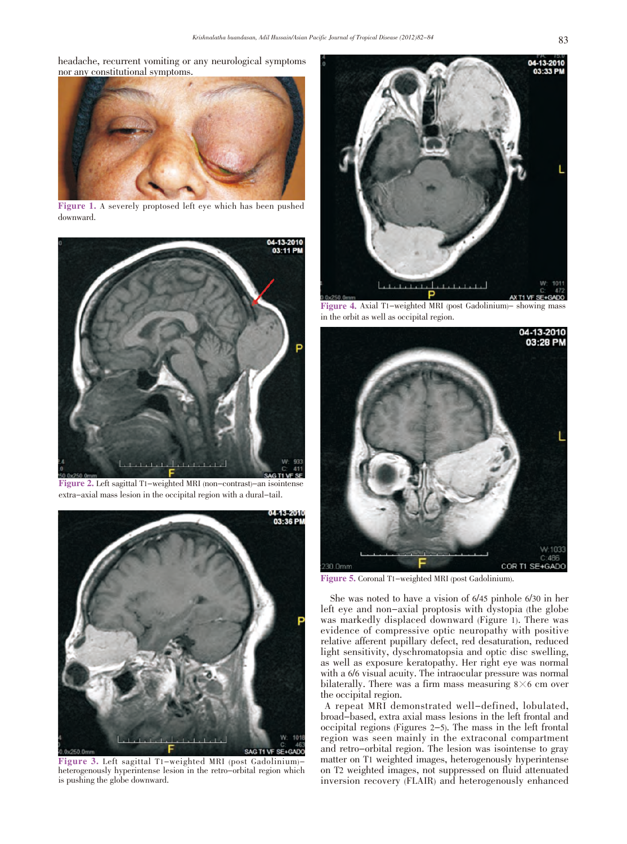headache, recurrent vomiting or any neurological symptoms nor any constitutional symptoms.



Figure 1. A severely proptosed left eye which has been pushed downward.



Figure 2. Left sagittal T1-weighted MRI (non-contrast)-an isointense extra-axial mass lesion in the occipital region with a dural-tail.



Figure 3. Left sagittal T1-weighted MRI (post Gadolinium) heterogenously hyperintense lesion in the retro-orbital region which is pushing the globe downward.



Figure 4. Axial T1-weighted MRI (post Gadolinium)- showing mass in the orbit as well as occipital region.



Figure 5. Coronal T1-weighted MRI (post Gadolinium).

 She was noted to have a vision of 6/45 pinhole 6/30 in her left eye and non-axial proptosis with dystopia (the globe was markedly displaced downward (Figure 1). There was evidence of compressive optic neuropathy with positive relative afferent pupillary defect, red desaturation, reduced light sensitivity, dyschromatopsia and optic disc swelling, as well as exposure keratopathy. Her right eye was normal with a 6/6 visual acuity. The intraocular pressure was normal bilaterally. There was a firm mass measuring  $8\times 6$  cm over the occipital region.

A repeat MRI demonstrated well-defined, lobulated, broad-based, extra axial mass lesions in the left frontal and occipital regions (Figures 2-5). The mass in the left frontal region was seen mainly in the extraconal compartment and retro-orbital region. The lesion was isointense to gray matter on T1 weighted images, heterogenously hyperintense on T2 weighted images, not suppressed on fluid attenuated inversion recovery (FLAIR) and heterogenously enhanced